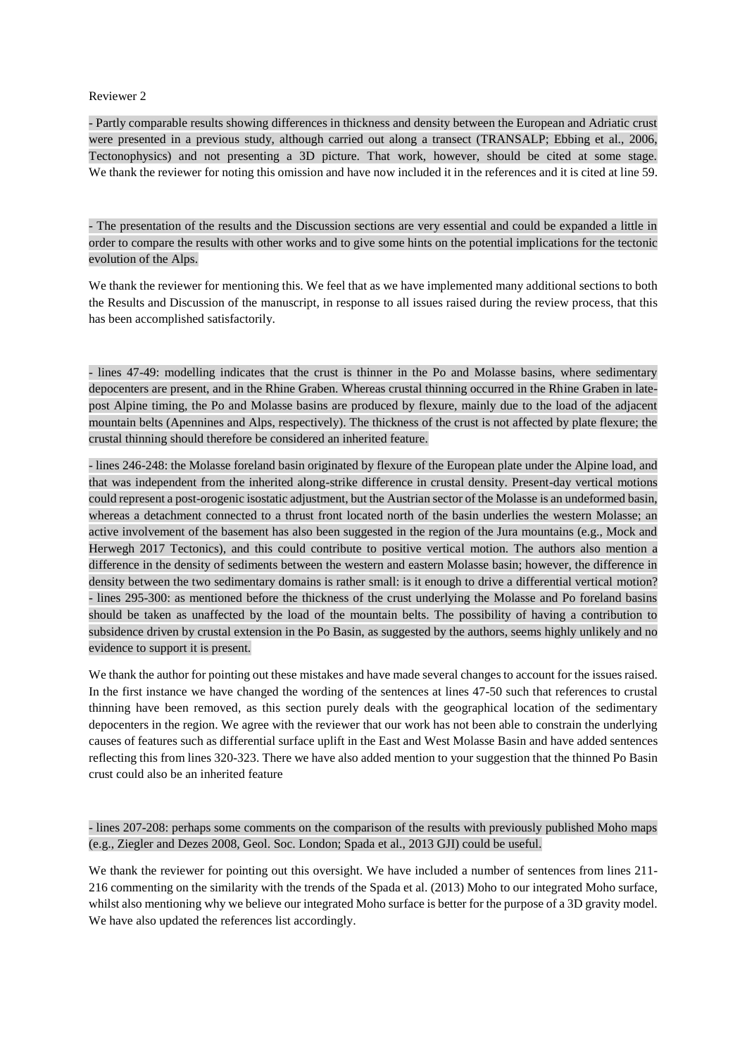## Reviewer 2

- Partly comparable results showing differences in thickness and density between the European and Adriatic crust were presented in a previous study, although carried out along a transect (TRANSALP; Ebbing et al., 2006, Tectonophysics) and not presenting a 3D picture. That work, however, should be cited at some stage. We thank the reviewer for noting this omission and have now included it in the references and it is cited at line 59.

- The presentation of the results and the Discussion sections are very essential and could be expanded a little in order to compare the results with other works and to give some hints on the potential implications for the tectonic evolution of the Alps.

We thank the reviewer for mentioning this. We feel that as we have implemented many additional sections to both the Results and Discussion of the manuscript, in response to all issues raised during the review process, that this has been accomplished satisfactorily.

- lines 47-49: modelling indicates that the crust is thinner in the Po and Molasse basins, where sedimentary depocenters are present, and in the Rhine Graben. Whereas crustal thinning occurred in the Rhine Graben in latepost Alpine timing, the Po and Molasse basins are produced by flexure, mainly due to the load of the adjacent mountain belts (Apennines and Alps, respectively). The thickness of the crust is not affected by plate flexure; the crustal thinning should therefore be considered an inherited feature.

- lines 246-248: the Molasse foreland basin originated by flexure of the European plate under the Alpine load, and that was independent from the inherited along-strike difference in crustal density. Present-day vertical motions could represent a post-orogenic isostatic adjustment, but the Austrian sector of the Molasse is an undeformed basin, whereas a detachment connected to a thrust front located north of the basin underlies the western Molasse; an active involvement of the basement has also been suggested in the region of the Jura mountains (e.g., Mock and Herwegh 2017 Tectonics), and this could contribute to positive vertical motion. The authors also mention a difference in the density of sediments between the western and eastern Molasse basin; however, the difference in density between the two sedimentary domains is rather small: is it enough to drive a differential vertical motion? - lines 295-300: as mentioned before the thickness of the crust underlying the Molasse and Po foreland basins should be taken as unaffected by the load of the mountain belts. The possibility of having a contribution to subsidence driven by crustal extension in the Po Basin, as suggested by the authors, seems highly unlikely and no evidence to support it is present.

We thank the author for pointing out these mistakes and have made several changes to account for the issues raised. In the first instance we have changed the wording of the sentences at lines 47-50 such that references to crustal thinning have been removed, as this section purely deals with the geographical location of the sedimentary depocenters in the region. We agree with the reviewer that our work has not been able to constrain the underlying causes of features such as differential surface uplift in the East and West Molasse Basin and have added sentences reflecting this from lines 320-323. There we have also added mention to your suggestion that the thinned Po Basin crust could also be an inherited feature

- lines 207-208: perhaps some comments on the comparison of the results with previously published Moho maps (e.g., Ziegler and Dezes 2008, Geol. Soc. London; Spada et al., 2013 GJI) could be useful.

We thank the reviewer for pointing out this oversight. We have included a number of sentences from lines 211- 216 commenting on the similarity with the trends of the Spada et al. (2013) Moho to our integrated Moho surface, whilst also mentioning why we believe our integrated Moho surface is better for the purpose of a 3D gravity model. We have also updated the references list accordingly.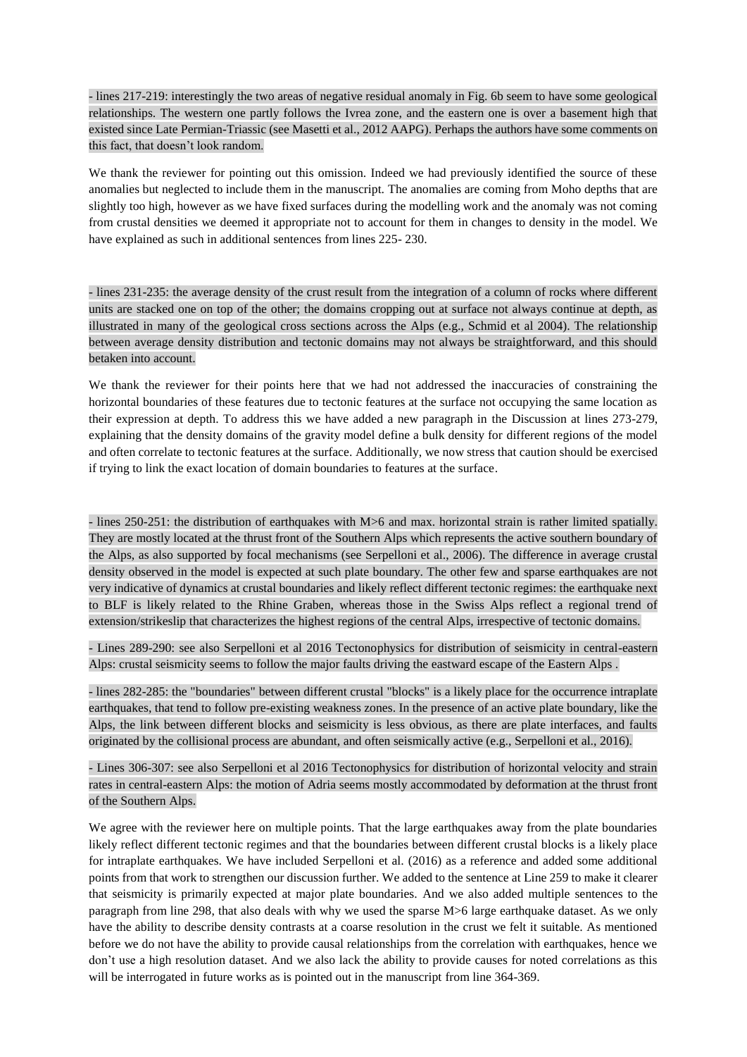- lines 217-219: interestingly the two areas of negative residual anomaly in Fig. 6b seem to have some geological relationships. The western one partly follows the Ivrea zone, and the eastern one is over a basement high that existed since Late Permian-Triassic (see Masetti et al., 2012 AAPG). Perhaps the authors have some comments on this fact, that doesn't look random.

We thank the reviewer for pointing out this omission. Indeed we had previously identified the source of these anomalies but neglected to include them in the manuscript. The anomalies are coming from Moho depths that are slightly too high, however as we have fixed surfaces during the modelling work and the anomaly was not coming from crustal densities we deemed it appropriate not to account for them in changes to density in the model. We have explained as such in additional sentences from lines 225- 230.

- lines 231-235: the average density of the crust result from the integration of a column of rocks where different units are stacked one on top of the other; the domains cropping out at surface not always continue at depth, as illustrated in many of the geological cross sections across the Alps (e.g., Schmid et al 2004). The relationship between average density distribution and tectonic domains may not always be straightforward, and this should betaken into account.

We thank the reviewer for their points here that we had not addressed the inaccuracies of constraining the horizontal boundaries of these features due to tectonic features at the surface not occupying the same location as their expression at depth. To address this we have added a new paragraph in the Discussion at lines 273-279, explaining that the density domains of the gravity model define a bulk density for different regions of the model and often correlate to tectonic features at the surface. Additionally, we now stress that caution should be exercised if trying to link the exact location of domain boundaries to features at the surface.

- lines 250-251: the distribution of earthquakes with M>6 and max. horizontal strain is rather limited spatially. They are mostly located at the thrust front of the Southern Alps which represents the active southern boundary of the Alps, as also supported by focal mechanisms (see Serpelloni et al., 2006). The difference in average crustal density observed in the model is expected at such plate boundary. The other few and sparse earthquakes are not very indicative of dynamics at crustal boundaries and likely reflect different tectonic regimes: the earthquake next to BLF is likely related to the Rhine Graben, whereas those in the Swiss Alps reflect a regional trend of extension/strikeslip that characterizes the highest regions of the central Alps, irrespective of tectonic domains.

- Lines 289-290: see also Serpelloni et al 2016 Tectonophysics for distribution of seismicity in central-eastern Alps: crustal seismicity seems to follow the major faults driving the eastward escape of the Eastern Alps .

- lines 282-285: the "boundaries" between different crustal "blocks" is a likely place for the occurrence intraplate earthquakes, that tend to follow pre-existing weakness zones. In the presence of an active plate boundary, like the Alps, the link between different blocks and seismicity is less obvious, as there are plate interfaces, and faults originated by the collisional process are abundant, and often seismically active (e.g., Serpelloni et al., 2016).

- Lines 306-307: see also Serpelloni et al 2016 Tectonophysics for distribution of horizontal velocity and strain rates in central-eastern Alps: the motion of Adria seems mostly accommodated by deformation at the thrust front of the Southern Alps.

We agree with the reviewer here on multiple points. That the large earthquakes away from the plate boundaries likely reflect different tectonic regimes and that the boundaries between different crustal blocks is a likely place for intraplate earthquakes. We have included Serpelloni et al. (2016) as a reference and added some additional points from that work to strengthen our discussion further. We added to the sentence at Line 259 to make it clearer that seismicity is primarily expected at major plate boundaries. And we also added multiple sentences to the paragraph from line 298, that also deals with why we used the sparse M>6 large earthquake dataset. As we only have the ability to describe density contrasts at a coarse resolution in the crust we felt it suitable. As mentioned before we do not have the ability to provide causal relationships from the correlation with earthquakes, hence we don't use a high resolution dataset. And we also lack the ability to provide causes for noted correlations as this will be interrogated in future works as is pointed out in the manuscript from line 364-369.